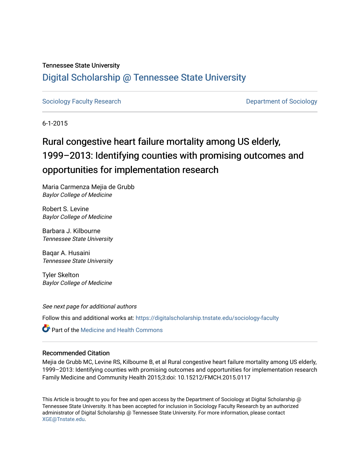## Tennessee State University

## [Digital Scholarship @ Tennessee State University](https://digitalscholarship.tnstate.edu/)

[Sociology Faculty Research](https://digitalscholarship.tnstate.edu/sociology-faculty) **Department of Sociology Department of Sociology** 

6-1-2015

# Rural congestive heart failure mortality among US elderly, 1999–2013: Identifying counties with promising outcomes and opportunities for implementation research

Maria Carmenza Mejia de Grubb Baylor College of Medicine

Robert S. Levine Baylor College of Medicine

Barbara J. Kilbourne Tennessee State University

Baqar A. Husaini Tennessee State University

Tyler Skelton Baylor College of Medicine

See next page for additional authors

Follow this and additional works at: [https://digitalscholarship.tnstate.edu/sociology-faculty](https://digitalscholarship.tnstate.edu/sociology-faculty?utm_source=digitalscholarship.tnstate.edu%2Fsociology-faculty%2F4&utm_medium=PDF&utm_campaign=PDFCoverPages) 

**C** Part of the Medicine and Health Commons

## Recommended Citation

Mejia de Grubb MC, Levine RS, Kilbourne B, et al Rural congestive heart failure mortality among US elderly, 1999–2013: Identifying counties with promising outcomes and opportunities for implementation research Family Medicine and Community Health 2015;3:doi: 10.15212/FMCH.2015.0117

This Article is brought to you for free and open access by the Department of Sociology at Digital Scholarship @ Tennessee State University. It has been accepted for inclusion in Sociology Faculty Research by an authorized administrator of Digital Scholarship @ Tennessee State University. For more information, please contact [XGE@Tnstate.edu](mailto:XGE@Tnstate.edu).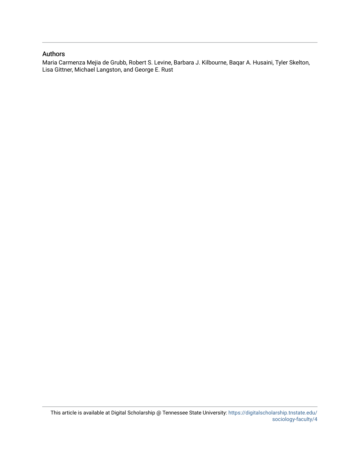## Authors

Maria Carmenza Mejia de Grubb, Robert S. Levine, Barbara J. Kilbourne, Baqar A. Husaini, Tyler Skelton, Lisa Gittner, Michael Langston, and George E. Rust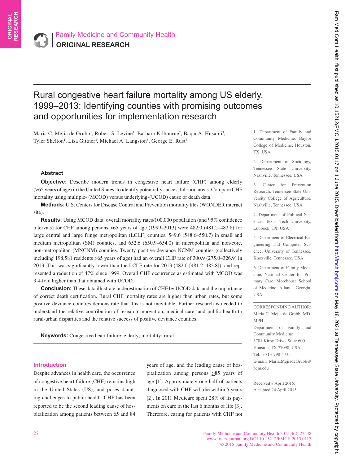## Rural congestive heart failure mortality among US elderly, 1999–2013: Identifying counties with promising outcomes and opportunities for implementation research

Maria C. Mejia de Grubb<sup>1</sup>, Robert S. Levine<sup>1</sup>, Barbara Kilbourne<sup>2</sup>, Baqar A. Husaini<sup>3</sup>, Tyler Skelton<sup>1</sup>, Lisa Gittner<sup>4</sup>, Michael A. Langston<sup>5</sup>, George E. Rust<sup>6</sup>

## **Abstract**

**Objective:** Describe modern trends in congestive heart failure (CHF) among elderly (>65 years of age) in the United States, to identify potentially successful rural areas. Compare CHF mortality using multiple- (MCOD) versus underlying-(UCOD) cause of death data.

**Methods:** U.S. Centers for Disease Control and Prevention mortality files (WONDER internet site).

**Results:** Using MCOD data, overall mortality rates/100,000 population (and 95% confidence intervals) for CHF among persons >65 years of age (1999–2013) were 482.0 (481.2–482.8) for large central and large fringe metropolitan (LCLF) counties, 549.6 (548.6–550.7) in small and medium metropolitan (SM) counties, and 652.6 (650.9–654.0) in micropolitan and non-core, non-metropolitan (MNCNM) counties. Twenty positive deviance NCNM counties (collectively including 198,581 residents >65 years of age) had an overall CHF rate of 300.9 (275.0–326.9) in 2013. This was significantly lower than the LCLF rate for 2013 (482.0 [481.2–482.8]), and represented a reduction of 47% since 1999. Overall CHF occurrence as estimated with MCOD was 3.4-fold higher than that obtained with UCOD.

**Conclusion:** These data illustrate underestimation of CHF by UCOD data and the importance of correct death certification. Rural CHF mortality rates are higher than urban rates, but some positive deviance counties demonstrate that this is not inevitable. Further research is needed to understand the relative contribution of research innovation, medical care, and public health to rural-urban disparities and the relative success of positive deviance counties.

**Keywords:** Congestive heart failure; elderly; mortality; rural

#### **Introduction**

Despite advances in health care, the occurrence of congestive heart failure (CHF) remains high in the United States (US), and poses daunting challenges to public health. CHF has been reported to be the second leading cause of hospitalization among patients between 65 and 84 years of age, and the leading cause of hospitalization among persons  $\geq 85$  years of age [1]. Approximately one-half of patients diagnosed with CHF will die within 5 years [2]. In 2011 Medicare spent 28% of its payments on care in the last 6 months of life [3]. Therefore, caring for patients with CHF not

1. Department of Family and Community Medicine, Baylor College of Medicine, Houston, TX, USA

2. Department of Sociology, Tennessee State University, Nashville, Tennessee, USA

3. Center for Prevention Research, Tennessee State University College of Agriculture, Nashville, Tennessee, USA

4. Department of Political Science, Texas Tech University, Lubbock, TX, USA

5. Department of Electrical Engineering and Computer Science, University of Tennessee, Knoxville, Tennessee, USA

6. Department of Family Medicine, National Center for Primary Care, Morehouse School of Medicine, Atlanta, Georgia, USA

CORRESPONDING AUTHOR: Maria C. Mejia de Grubb, MD, MPH Department of Family and Community Medicine 3701 Kirby Drive, Suite 600 Houston, TX 77098, USA Tel.: +713-798-4735 E-mail: Maria.MejiadeGrubb@ bcm.edu

Received 8 April 2015; Accepted 24 April 2015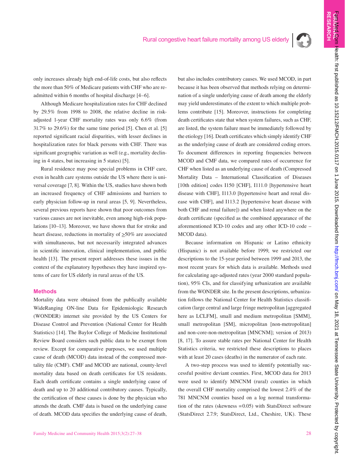

**ORI**

**RESEARCH** 

only increases already high end-of-life costs, but also reflects the more than 50% of Medicare patients with CHF who are readmitted within 6 months of hospital discharge [4–6].

Although Medicare hospitalization rates for CHF declined by 29.5% from 1998 to 2008, the relative decline in riskadjusted 1-year CHF mortality rates was only 6.6% (from 31.7% to 29.6%) for the same time period [5]. Chen et al. [5] reported significant racial disparities, with lesser declines in hospitalization rates for black persons with CHF. There was significant geographic variation as well (e.g., mortality declining in 4 states, but increasing in 5 states) [5].

Rural residence may pose special problems in CHF care, even in health care systems outside the US where there is universal coverage [7, 8]. Within the US, studies have shown both an increased frequency of CHF admissions and barriers to early physician follow-up in rural areas [5, 9]. Nevertheless, several previous reports have shown that poor outcomes from various causes are not inevitable, even among high-risk populations [10–13]. Moreover, we have shown that for stroke and heart disease, reductions in mortality of  $\geq$ 50% are associated with simultaneous, but not necessarily integrated advances in scientific innovation, clinical implementation, and public health [13]. The present report addresses these issues in the context of the explanatory hypotheses they have inspired systems of care for US elderly in rural areas of the US.

## **Methods**

Mortality data were obtained from the publically available WideRanging ON-line Data for Epidemiologic Research (WONDER) internet site provided by the US Centers for Disease Control and Prevention (National Center for Health Statistics) [14]. The Baylor College of Medicine Institutional Review Board considers such public data to be exempt from review. Except for comparative purposes, we used multiple cause of death (MCOD) data instead of the compressed mortality file (CMF). CMF and MCOD are national, county-level mortality data based on death certificates for US residents. Each death certificate contains a single underlying cause of death and up to 20 additional contributory causes. Typically, the certification of these causes is done by the physician who attends the death. CMF data is based on the underlying cause of death. MCOD data specifies the underlying cause of death, but also includes contributory causes. We used MCOD, in part because it has been observed that methods relying on determination of a single underlying cause of death among the elderly may yield underestimates of the extent to which multiple problems contribute [15]. Moreover, instructions for completing death certificates state that when system failures, such as CHF, are listed, the system failure must be immediately followed by the etiology [16]. Death certificates which simply identify CHF as the underlying cause of death are considered coding errors. To document differences in reporting frequencies between MCOD and CMF data, we compared rates of occurrence for CHF when listed as an underlying cause of death (Compressed Mortality Data – International Classification of Diseases [10th edition] codes I150 [CHF], I111.0 [hypertensive heart] disease with CHF], I113.0 [hypertensive heart and renal disease with CHF], and I113.2 [hypertensive heart disease with both CHF and renal failure]) and when listed anywhere on the death certificate (specified as the combined appearance of the aforementioned ICD-10 codes and any other ICD-10 code – MCOD data).

Because information on Hispanic or Latino ethnicity (Hispanic) is not available before 1999, we restricted our descriptions to the 15-year period between 1999 and 2013, the most recent years for which data is available. Methods used for calculating age-adjusted rates (year 2000 standard population), 95% CIs, and for classifying urbanization are available from the WONDER site. In the present descriptions, urbanization follows the National Center for Health Statistics classification (large central and large fringe metropolitan [aggregated here as LCLFM], small and medium metropolitan [SMM], small metropolitan [SM], micropolitan [non-metropolitan] and non-core-non-metropolitan [MNCNM]; version of 2013) [8, 17]. To assure stable rates per National Center for Health Statistics criteria, we restricted these descriptions to places with at least 20 cases (deaths) in the numerator of each rate.

A two-step process was used to identify potentially successful positive deviant counties. First, MCOD data for 2013 were used to identify MNCNM (rural) counties in which the overall CHF mortality comprised the lowest 2.4% of the 781 MNCNM counties based on a log normal transformation of the rates (skewness =0.05) with StatsDirect software (StatsDirect 2.7.9; StatsDirect, Ltd., Cheshire, UK). These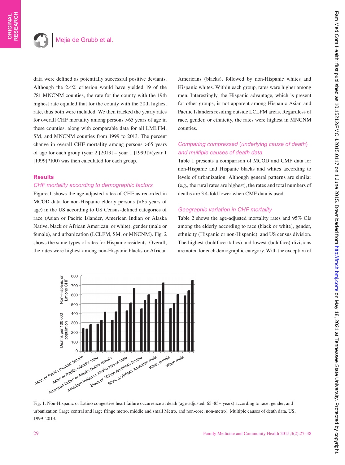data were defined as potentially successful positive deviants. Although the 2.4% criterion would have yielded 19 of the 781 MNCNM counties, the rate for the county with the 19th highest rate equaled that for the county with the 20th highest rate, thus both were included. We then tracked the yearly rates for overall CHF mortality among persons >65 years of age in these counties, along with comparable data for all LMLFM, SM, and MNCNM counties from 1999 to 2013. The percent change in overall CHF mortality among persons >65 years of age for each group (year 2 [2013] – year 1 [1999])/(year 1 [1999]\*100) was then calculated for each group.

## **Results**

## *CHF mortality according to demographic factors*

Figure 1 shows the age-adjusted rates of CHF as recorded in MCOD data for non-Hispanic elderly persons (>65 years of age) in the US according to US Census-defined categories of race (Asian or Pacific Islander, American Indian or Alaska Native, black or African American, or white), gender (male or female), and urbanization (LCLFM, SM, or MNCNM). Fig. 2 shows the same types of rates for Hispanic residents. Overall, the rates were highest among non-Hispanic blacks or African Americans (blacks), followed by non-Hispanic whites and Hispanic whites. Within each group, rates were higher among men. Interestingly, the Hispanic advantage, which is present for other groups, is not apparent among Hispanic Asian and Pacific Islanders residing outside LCLFM areas. Regardless of race, gender, or ethnicity, the rates were highest in MNCNM counties.

## *Comparing compressed* (*underlying cause of death*) *and multiple causes of death data*

Table 1 presents a comparison of MCOD and CMF data for non-Hispanic and Hispanic blacks and whites according to levels of urbanization. Although general patterns are similar (e.g., the rural rates are highest), the rates and total numbers of deaths are 3.4-fold lower when CMF data is used.

## *Geographic variation in CHF mortality*

Table 2 shows the age-adjusted mortality rates and 95% CIs among the elderly according to race (black or white), gender, ethnicity (Hispanic or non-Hispanic), and US census division. The highest (boldface italics) and lowest (boldface) divisions are noted for each demographic category. With the exception of



Fig. 1. Non-Hispanic or Latino congestive heart failure occurrence at death (age-adjusted, 65–85+ years) according to race, gender, and urbanization (large central and large fringe metro, middle and small Metro, and non-core, non-metro). Multiple causes of death data, US, 1999–2013.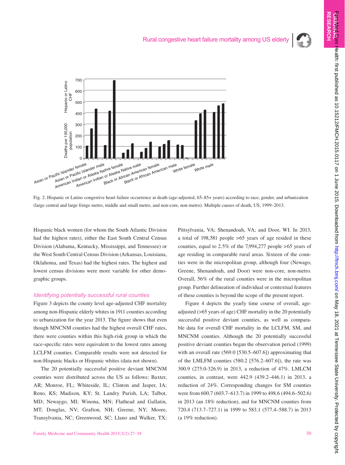

Fig. 2. Hispanic or Latino congestive heart failure occurrence at death (age-adjusted, 65–85+ years) according to race, gender, and urbanization (large central and large fringe metro, middle and small metro, and non-core, non-metro). Multiple causes of death, US, 1999–2013.

Hispanic black women (for whom the South Atlantic Division had the highest rates), either the East South Central Census Division (Alabama, Kentucky, Mississippi, and Tennessee) or the West South Central Census Division (Arkansas, Louisiana, Oklahoma, and Texas) had the highest rates. The highest and lowest census divisions were more variable for other demographic groups.

#### *Identifying potentially successful rural counties*

Figure 3 depicts the county level age-adjusted CHF mortality among non-Hispanic elderly whites in 1911 counties according to urbanization for the year 2013. The figure shows that even though MNCNM counties had the highest overall CHF rates, there were counties within this high-risk group in which the race-specific rates were equivalent to the lowest rates among LCLFM counties. Comparable results were not detected for non-Hispanic blacks or Hispanic whites (data not shown).

The 20 potentially successful positive deviant MNCNM counties were distributed across the US as follows: Baxter, AR; Monroe, FL; Whiteside, IL; Clinton and Jasper, IA; Reno, KS; Madison, KY; St. Landry Parish, LA; Talbot, MD; Newaygo, MI; Winona, MN; Flathead and Gallatin, MT; Douglas, NV; Grafton, NH; Greene, NY; Moore, Transylvania, NC; Greenwood, SC; Llano and Walker, TX; Pittsylvania, VA; Shenandoah, VA; and Door, WI. In 2013, a total of 198,581 people >65 years of age resided in these counties, equal to 2.5% of the 7,994,277 people >65 years of age residing in comparable rural areas. Sixteen of the counties were in the micropolitan group, although four (Newago, Greene, Shenandoah, and Door) were non-core, non-metro. Overall, 56% of the rural counties were in the micropolitan group. Further delineation of individual or contextual features of these counties is beyond the scope of the present report.

Figure 4 depicts the yearly time course of overall, ageadjusted (>65 years of age) CHF mortality in the 20 potentially successful positive deviant counties, as well as comparable data for overall CHF mortality in the LCLFM, SM, and MNCNM counties. Although the 20 potentially successful positive deviant counties began the observation period (1999) with an overall rate (569.0 [530.5–607.6]) approximating that of the LMLFM counties (580.2 [576.2–607.6]), the rate was 300.9 (275.0-326.9) in 2013, a reduction of 47%. LMLCM counties, in contrast, were 442.9 (439.2–446.1) in 2013, a reduction of 24%. Corresponding changes for SM counties were from 600.7 (603.7–613.7) in 1999 to 498.6 (494.6–502.6) in 2013 (an 18% reduction), and for MNCNM counties from 720.4 (713.7–727.1) in 1999 to 583.1 (577.4–588.7) in 2013 (a 19% reduction).

**RESEARCH**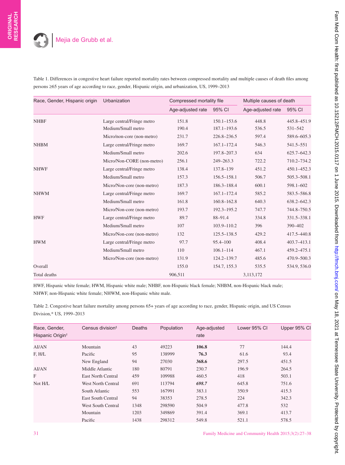| Table 1. Differences in congestive heart failure reported mortality rates between compressed mortality and multiple causes of death files among |
|-------------------------------------------------------------------------------------------------------------------------------------------------|
| persons ≥65 years of age according to race, gender, Hispanic origin, and urbanization, US, 1999–2013                                            |

| Race, Gender, Hispanic origin | Urbanization               | Compressed mortality file |                 | Multiple causes of death |              |
|-------------------------------|----------------------------|---------------------------|-----------------|--------------------------|--------------|
|                               |                            | Age-adjusted rate         | 95% CI          | Age-adjusted rate        | 95% CI       |
| <b>NHBF</b>                   | Large central/Fringe metro | 151.8                     | $150.1 - 153.6$ | 448.8                    | 445.8-451.9  |
|                               | Medium/Small metro         | 190.4                     | $187.1 - 193.6$ | 536.5                    | 531-542      |
|                               | Micro/non-core (non-metro) | 231.7                     | 226.8-236.5     | 597.4                    | 589.6-605.3  |
| <b>NHBM</b>                   | Large central/Fringe metro | 169.7                     | $167.1 - 172.4$ | 546.3                    | 541.5–551    |
|                               | Medium/Small metro         | 202.6                     | 197.8-207.3     | 634                      | 625.7-642.3  |
|                               | Micro/Non-CORE (non-metro) | 256.1                     | 249-263.3       | 722.2                    | 710.2-734.2  |
| <b>NHWF</b>                   | Large central/Fringe metro | 138.4                     | 137.8-139       | 451.2                    | 450.1-452.3  |
|                               | Medium/Small metro         | 157.3                     | $156.5 - 158.1$ | 506.7                    | 505.3-508.1  |
|                               | Micro/Non-core (non-metro) | 187.3                     | 186.3-188.4     | 600.1                    | 598.1-602    |
| <b>NHWM</b>                   | Large central/Fringe metro | 169.7                     | $167.1 - 172.4$ | 585.2                    | 583.5-586.8  |
|                               | Medium/Small metro         | 161.8                     | $160.8 - 162.8$ | 640.3                    | 638.2-642.3  |
|                               | Micro/Non-core (non-metro) | 193.7                     | 192.3-195.2     | 747.7                    | 744.8-750.5  |
| <b>HWF</b>                    | Large central/Fringe metro | 89.7                      | 88-91.4         | 334.8                    | 331.5-338.1  |
|                               | Medium/Small metro         | 107                       | 103.9-110.2     | 396                      | 390-402      |
|                               | Micro/Non-core (non-metro) | 132                       | $125.5 - 138.5$ | 429.2                    | 417.5-440.8  |
| <b>HWM</b>                    | Large central/Fringe metro | 97.7                      | 95.4-100        | 408.4                    | 403.7-413.1  |
|                               | Medium/Small metro         | 110                       | $106.1 - 114$   | 467.1                    | 459.2-475.1  |
|                               | Micro/Non-core (non-metro) | 131.9                     | $124.2 - 139.7$ | 485.6                    | 470.9-500.3  |
| Overall                       |                            | 155.0                     | 154.7, 155.3    | 535.5                    | 534.9, 536.0 |
| Total deaths                  |                            | 906,511                   |                 | 3,113,172                |              |

HWF, Hispanic white female; HWM, Hispanic white male; NHBF, non-Hispanic black female; NHBM, non-Hispanic black male; NHWF, non-Hispanic white female; NHWM, non-Hispanic white male.

Table 2. Congestive heart failure mortality among persons 65+ years of age according to race, gender, Hispanic origin, and US Census Division,\* US, 1999–2013

| Race, Gender,<br>Hispanic Origin <sup>+</sup> | Census division <sup>#</sup> | <b>Deaths</b> | Population | Age-adjusted<br>rate | Lower 95% CI | Upper 95% Cl |
|-----------------------------------------------|------------------------------|---------------|------------|----------------------|--------------|--------------|
| AI/AN                                         | Mountain                     | 43            | 49223      | 106.8                | 77           | 144.4        |
| F. H/L                                        | Pacific                      | 95            | 138999     | 76.3                 | 61.6         | 93.4         |
|                                               | New England                  | 94            | 27030      | 368.6                | 297.5        | 451.5        |
| <b>AI/AN</b>                                  | Middle Atlantic              | 180           | 80791      | 230.7                | 196.9        | 264.5        |
| F                                             | East North Central           | 459           | 109988     | 460.5                | 418          | 503.1        |
| Not H/L                                       | West North Central           | 691           | 113794     | 698.7                | 645.8        | 751.6        |
|                                               | South Atlantic               | 553           | 167991     | 383.1                | 350.9        | 415.3        |
|                                               | <b>East South Central</b>    | 94            | 38353      | 278.5                | 224          | 342.3        |
|                                               | <b>West South Central</b>    | 1348          | 298590     | 504.9                | 477.8        | 532          |
|                                               | Mountain                     | 1203          | 349869     | 391.4                | 369.1        | 413.7        |
|                                               | Pacific                      | 1438          | 298312     | 549.8                | 521.1        | 578.5        |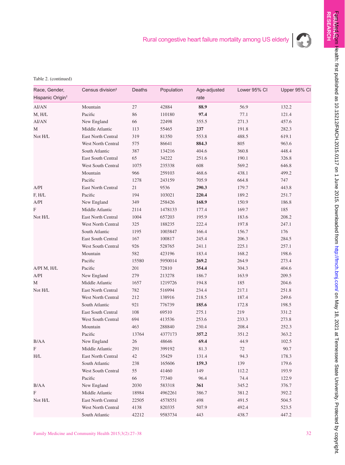

Table 2. (continued)

| Race, Gender,<br>Hispanic Origin <sup>t</sup> | Census division <sup>#</sup> | Deaths | Population | Age-adjusted<br>rate | Lower 95% CI | Upper 95% Cl |
|-----------------------------------------------|------------------------------|--------|------------|----------------------|--------------|--------------|
| AI/AN                                         | Mountain                     | $27\,$ | 42884      | 88.9                 | 56.9         | 132.2        |
| M, H/L                                        | Pacific                      | 86     | 110180     | 97.4                 | 77.1         | 121.4        |
| AI/AN                                         | New England                  | 66     | 22498      | 355.5                | 271.3        | 457.6        |
| М                                             | Middle Atlantic              | 113    | 55465      | 237                  | 191.8        | 282.3        |
| Not H/L                                       | East North Central           | 319    | 81350      | 553.8                | 488.5        | 619.1        |
|                                               | West North Central           | 575    | 86641      | 884.3                | 805          | 963.6        |
|                                               | South Atlantic               | 387    | 134216     | 404.6                | 360.8        | 448.4        |
|                                               | East South Central           | 65     | 34222      | 251.6                | 190.1        | 326.8        |
|                                               | West South Central           | 1075   | 235338     | 608                  | 569.2        | 646.8        |
|                                               | Mountain                     | 966    | 259103     | 468.6                | 438.1        | 499.2        |
|                                               | Pacific                      | 1278   | 243159     | 705.9                | 664.8        | 747          |
| A/PI                                          | East North Central           | 21     | 9536       | 290.3                | 179.7        | 443.8        |
| F, H/L                                        | Pacific                      | 194    | 103021     | 220.4                | 189.2        | 251.7        |
| A/PI                                          | New England                  | 349    | 258426     | 168.9                | 150.9        | 186.8        |
| $\boldsymbol{\mathrm{F}}$                     | Middle Atlantic              | 2114   | 1478133    | 177.4                | 169.7        | 185          |
| Not H/L                                       | East North Central           | 1004   | 657203     | 195.9                | 183.6        | 208.2        |
|                                               | West North Central           | 325    | 188235     | 222.4                | 197.8        | 247.1        |
|                                               | South Atlantic               | 1195   | 1003847    | 166.4                | 156.7        | 176          |
|                                               | East South Central           | 167    | 100817     | 245.4                | 206.3        | 284.5        |
|                                               | West South Central           | 926    | 528765     | 241.1                | 225.1        | 257.1        |
|                                               | Mountain                     | 582    | 423196     | 183.4                | 168.2        | 198.6        |
|                                               | Pacific                      | 15580  | 5950014    | 269.2                | 264.9        | 273.4        |
| A/PI M, H/L                                   | Pacific                      | 201    | 72810      | 354.4                | 304.3        | 404.6        |
| A/PI                                          | New England                  | 279    | 213278     | 186.7                | 163.9        | 209.5        |
| М                                             | Middle Atlantic              | 1657   | 1219726    | 194.8                | 185          | 204.6        |
| Not H/L                                       | East North Central           | 782    | 516994     | 234.4                | 217.1        | 251.8        |
|                                               | West North Central           | 212    | 138916     | 218.5                | 187.4        | 249.6        |
|                                               | South Atlantic               | 921    | 776739     | 185.6                | 172.8        | 198.5        |
|                                               | East South Central           | 108    | 69510      | 275.1                | 219          | 331.2        |
|                                               | West South Central           | 694    | 413536     | 253.6                | 233.3        | 273.8        |
|                                               | Mountain                     | 463    | 288840     | 230.4                | 208.4        | 252.3        |
|                                               | Pacific                      | 13764  | 4377173    | 357.2                | 351.2        | 363.2        |
| B/AA                                          | New England                  | 26     | 48646      | 69.4                 | 44.9         | 102.5        |
| F                                             | Middle Atlantic              | 291    | 399192     | 81.3                 | 72           | $90.7\,$     |
| H/L                                           | East North Central           | 42     | 35429      | 131.4                | 94.3         | 178.3        |
|                                               | South Atlantic               | 238    | 165606     | 159.3                | 139          | 179.6        |
|                                               | West South Central           | 55     | 41460      | 149                  | 112.2        | 193.9        |
|                                               | Pacific                      | 66     | 77340      | 96.4                 | 74.4         | 122.9        |
| B/AA                                          | New England                  | 2030   | 583318     | 361                  | 345.2        | 376.7        |
| F                                             | Middle Atlantic              | 18984  | 4962261    | 386.7                | 381.2        | 392.2        |
| Not H/L                                       | East North Central           | 22505  | 4578551    | 498                  | 491.5        | 504.5        |
|                                               | West North Central           | 4138   | 820335     | 507.9                | 492.4        | 523.5        |
|                                               | South Atlantic               | 42212  | 9583734    | 443                  | 438.7        | 447.2        |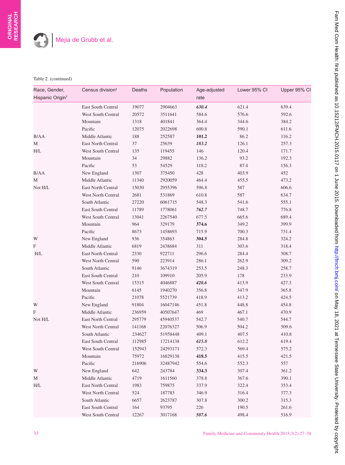### Table 2. (continued)

| Race, Gender,<br>Hispanic Origin <sup>+</sup> | Census division <sup>#</sup> | Deaths | Population | Age-adjusted<br>rate | Lower 95% CI | Upper 95% Cl |
|-----------------------------------------------|------------------------------|--------|------------|----------------------|--------------|--------------|
|                                               | East South Central           | 19077  | 2904663    | 630.4                | 621.4        | 639.4        |
|                                               | West South Central           | 20572  | 3511641    | 584.6                | 576.6        | 592.6        |
|                                               | Mountain                     | 1318   | 401841     | 364.4                | 344.6        | 384.2        |
|                                               | Pacific                      | 12075  | 2022698    | 600.8                | 590.1        | 611.6        |
| <b>B/AA</b>                                   | Middle Atlantic              | 188    | 252587     | 101.2                | 86.2         | 116.2        |
| М                                             | East North Central           | 37     | 25639      | 183.2                | 126.1        | 257.3        |
| H/L                                           | West South Central           | 135    | 119455     | 146                  | 120.4        | 171.7        |
|                                               | Mountain                     | 34     | 29882      | 136.2                | 93.2         | 192.3        |
|                                               | Pacific                      | 53     | 54529      | 118.2                | 87.4         | 156.3        |
| B/AA                                          | New England                  | 1307   | 375450     | 428                  | 403.9        | 452          |
| М                                             | Middle Atlantic              | 11340  | 2920059    | 464.4                | 455.5        | 473.2        |
| Not H/L                                       | East North Central           | 15030  | 2955396    | 596.8                | 587          | 606.6        |
|                                               | West North Central           | 2681   | 531869     | 610.8                | 587          | 634.7        |
|                                               | South Atlantic               | 27220  | 6061715    | 548.3                | 541.6        | 555.1        |
|                                               | East South Central           | 11789  | 1778061    | 762.7                | 748.7        | 776.8        |
|                                               | West South Central           | 13041  | 2267540    | 677.5                | 665.6        | 689.4        |
|                                               | Mountain                     | 964    | 329179     | 374.6                | 349.2        | 399.9        |
|                                               | Pacific                      | 8673   | 1458693    | 715.9                | 700.3        | 731.4        |
| W                                             | New England                  | 936    | 354863     | 304.5                | 284.8        | 324.2        |
| F                                             | Middle Atlantic              | 6819   | 2438684    | 311                  | 303.6        | 318.4        |
| H/L                                           | East North Central           | 2330   | 922711     | 296.6                | 284.4        | 308.7        |
|                                               | West North Central           | 590    | 223914     | 286.1                | 262.9        | 309.2        |
|                                               | South Atlantic               | 9146   | 3674319    | 253.5                | 248.3        | 258.7        |
|                                               | East South Central           | 210    | 109910     | 205.9                | 178          | 233.9        |
|                                               | West South Central           | 15315  | 4046887    | 420.6                | 413.9        | 427.3        |
|                                               | Mountain                     | 6145   | 1940270    | 356.8                | 347.9        | 365.8        |
|                                               | Pacific                      | 21078  | 5521739    | 418.9                | 413.2        | 424.5        |
| W                                             | New England                  | 91804  | 16047146   | 451.8                | 448.8        | 454.8        |
| F                                             | Middle Atlantic              | 236959 | 40507647   | 469                  | 467.1        | 470.9        |
| Not H/L                                       | East North Central           | 295779 | 45940537   | 542.7                | 540.7        | 544.7        |
|                                               | <b>West North Central</b>    | 141168 | 22076327   | 506.9                | 504.2        | 509.6        |
|                                               | South Atlantic               | 234627 | 51958448   | 409.1                | 407.5        | 410.8        |
|                                               | East South Central           | 112985 | 17214138   | 615.8                | 612.2        | 619.4        |
|                                               | West South Central           | 152943 | 24293171   | 572.3                | 569.4        | 575.2        |
|                                               | Mountain                     | 75972  | 16829138   | 418.5                | 415.5        | 421.5        |
|                                               | Pacific                      | 216906 | 32487942   | 554.6                | 552.3        | 557          |
| W                                             | New England                  | 642    | 243784     | 334.3                | 307.4        | 361.2        |
| М                                             | Middle Atlantic              | 4719   | 1611560    | 378.8                | 367.6        | 390.1        |
| H/L                                           | East North Central           | 1983   | 759875     | 337.9                | 322.4        | 353.4        |
|                                               | West North Central           | 524    | 187783     | 346.9                | 316.4        | 377.3        |
|                                               | South Atlantic               | 6657   | 2623787    | 307.8                | 300.2        | 315.3        |
|                                               | East South Central           | 164    | 93795      | 226                  | 190.5        | 261.6        |
|                                               | West South Central           | 12267  | 3017168    | 507.6                | 498.4        | 516.9        |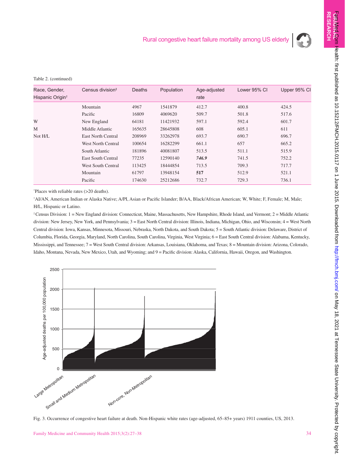

**ORI**

**GINAL RESEARCH** 

F**am Med Com** Health: first published as 10.15212/FMCH.2015.0117 on 1 June 2015. Downloaded from <http://fmch.bmj.com/> Fam May 18, 2021 at Tennessee State University. Protected by copyright.

#### Table 2. (continued)

| Race, Gender,                | Census division <sup>#</sup> | <b>Deaths</b> | Population | Age-adjusted | Lower 95% CI | Upper 95% Cl |
|------------------------------|------------------------------|---------------|------------|--------------|--------------|--------------|
| Hispanic Origin <sup>†</sup> |                              |               |            | rate         |              |              |
|                              | Mountain                     | 4967          | 1541879    | 412.7        | 400.8        | 424.5        |
|                              | Pacific                      | 16809         | 4069620    | 509.7        | 501.8        | 517.6        |
| W                            | New England                  | 64181         | 11421932   | 597.1        | 592.4        | 601.7        |
| M                            | Middle Atlantic              | 165635        | 28645808   | 608          | 605.1        | 611          |
| Not H/L                      | East North Central           | 208969        | 33262978   | 693.7        | 690.7        | 696.7        |
|                              | West North Central           | 100654        | 16282299   | 661.1        | 657          | 665.2        |
|                              | South Atlantic               | 181896        | 40081807   | 513.5        | 511.1        | 515.9        |
|                              | <b>East South Central</b>    | 77235         | 12590140   | 746.9        | 741.5        | 752.2        |
|                              | <b>West South Central</b>    | 113425        | 18444854   | 713.5        | 709.3        | 717.7        |
|                              | Mountain                     | 61797         | 13948154   | 517          | 512.9        | 521.1        |
|                              | Pacific                      | 174630        | 25212686   | 732.7        | 729.3        | 736.1        |
|                              |                              |               |            |              |              |              |

\* Places with reliable rates (>20 deaths).

† AI/AN, American Indian or Alaska Native; A/PI, Asian or Pacific Islander; B/AA, Black/African American; W, White; F, Female; M, Male; H/L, Hispanic or Latino.

‡ Census Division: 1 = New England division: Connecticut, Maine, Massachusetts, New Hampshire, Rhode Island, and Vermont; 2 = Middle Atlantic division: New Jersey, New York, and Pennsylvania; 3 = East North Central division: Illinois, Indiana, Michigan, Ohio, and Wisconsin; 4 = West North Central division: Iowa, Kansas, Minnesota, Missouri, Nebraska, North Dakota, and South Dakota; 5 = South Atlantic division: Delaware, District of Columbia, Florida, Georgia, Maryland, North Carolina, South Carolina, Virginia, West Virginia; 6 = East South Central division: Alabama, Kentucky, Mississippi, and Tennessee; 7 = West South Central division: Arkansas, Louisiana, Oklahoma, and Texas; 8 = Mountain division: Arizona, Colorado, Idaho, Montana, Nevada, New Mexico, Utah, and Wyoming; and 9 = Pacific division: Alaska, California, Hawaii, Oregon, and Washington.



Fig. 3. Occurrence of congestive heart failure at death. Non-Hispanic white rates (age-adjusted, 65–85+ years) 1911 counties, US, 2013.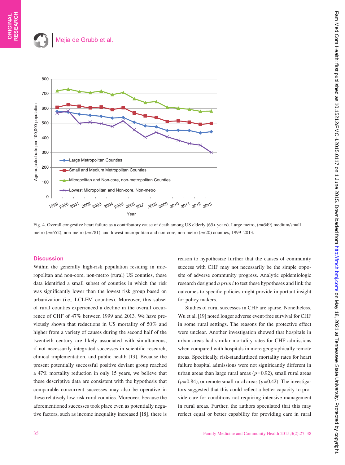## Mejia de Grubb et al.



Fig. 4. Overall congestive heart failure as a contributory cause of death among US elderly (65+ years). Large metro, (*n*=349) medium/small metro (*n*=552), non-metro (*n*=781), and lowest micropolitan and non-core, non-metro (*n*=20) counties, 1999–2013.

## **Discussion**

Within the generally high-risk population residing in micropolitan and non-core, non-metro (rural) US counties, these data identified a small subset of counties in which the risk was significantly lower than the lowest risk group based on urbanization (i.e., LCLFM counties). Moreover, this subset of rural counties experienced a decline in the overall occurrence of CHF of 47% between 1999 and 2013. We have previously shown that reductions in US mortality of 50% and higher from a variety of causes during the second half of the twentieth century are likely associated with simultaneous, if not necessarily integrated successes in scientific research, clinical implementation, and public health [13]. Because the present potentially successful positive deviant group reached a 47% mortality reduction in only 15 years, we believe that these descriptive data are consistent with the hypothesis that comparable concurrent successes may also be operative in these relatively low-risk rural counties. Moreover, because the aforementioned successes took place even as potentially negative factors, such as income inequality increased [18], there is

reason to hypothesize further that the causes of community success with CHF may not necessarily be the simple opposite of adverse community progress. Analytic epidemiologic research designed *a priori* to test these hypotheses and link the outcomes to specific policies might provide important insight for policy makers.

Studies of rural successes in CHF are sparse. Nonetheless, Wu et al. [19] noted longer adverse event-free survival for CHF in some rural settings. The reasons for the protective effect were unclear. Another investigation showed that hospitals in urban areas had similar mortality rates for CHF admissions when compared with hospitals in more geographically remote areas. Specifically, risk-standardized mortality rates for heart failure hospital admissions were not significantly different in urban areas than large rural areas  $(p=0.92)$ , small rural areas  $(p=0.84)$ , or remote small rural areas  $(p=0.42)$ . The investigators suggested that this could reflect a better capacity to provide care for conditions not requiring intensive management in rural areas. Further, the authors speculated that this may reflect equal or better capability for providing care in rural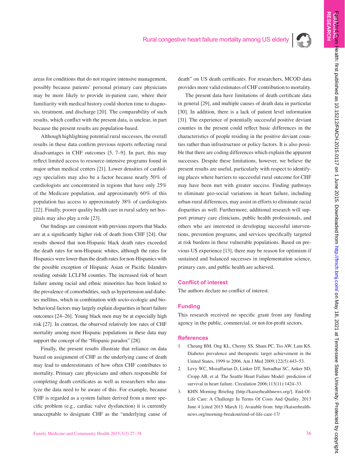

**ORI**

**GINAL RESEARCH** 

areas for conditions that do not require intensive management, possibly because patients' personal primary care physicians may be more likely to provide in-patient care, where their familiarity with medical history could shorten time to diagnosis, treatment, and discharge [20]. The comparability of such results, which conflict with the present data, is unclear, in part because the present results are population-based.

Although highlighting potential rural successes, the overall results in these data confirm previous reports reflecting rural disadvantages in CHF outcomes [5, 7–9]. In part, this may reflect limited access to resource-intensive programs found in major urban medical centers [21]. Lower densities of cardiology specialists may also be a factor because nearly 50% of cardiologists are concentrated in regions that have only 25% of the Medicare population, and approximately 60% of this population has access to approximately 38% of cardiologists [22]. Finally, poorer quality health care in rural safety net hospitals may also play a role [23].

Our findings are consistent with previous reports that blacks are at a significantly higher risk of death from CHF [24]. Our results showed that non-Hispanic black death rates exceeded the death rates for non-Hispanic whites, although the rates for Hispanics were lower than the death rates for non-Hispanics with the possible exception of Hispanic Asian or Pacific Islanders residing outside LCLFM counties. The increased risk of heart failure among racial and ethnic minorities has been linked to the prevalence of comorbidities, such as hypertension and diabetes mellitus, which in combination with socio-ecologic and biobehavioral factors may largely explain disparities in heart failure outcomes [24–26]. Young black men may be at especially high risk [27]. In contrast, the observed relatively low rates of CHF mortality among most Hispanic populations in these data may support the concept of the "Hispanic paradox" [28].

Finally, the present results illustrate that reliance on data based on assignment of CHF as the underlying cause of death may lead to underestimates of how often CHF contributes to mortality. Primary care physicians and others responsible for completing death certificates as well as researchers who analyze the data need to be aware of this. For example, because CHF is regarded as a system failure derived from a more specific problem (e.g., cardiac valve dysfunction) it is currently unacceptable to designate CHF as the "underlying cause of

death" on US death certificates. For researchers, MCOD data provides more valid estimates of CHF contribution to mortality.

The present data have limitations of death certificate data in general [29], and multiple causes of death data in particular [30]. In addition, there is a lack of patient level information [31]. The experience of potentially successful positive deviant counties in the present could reflect basic differences in the characteristics of people residing in the positive deviant counties rather than infrastructure or policy factors. It is also possible that there are coding differences which explain the apparent successes. Despite these limitations, however, we believe the present results are useful, particularly with respect to identifying places where barriers to successful rural outcome for CHF may have been met with greater success. Finding pathways to eliminate geo-social variations in heart failure, including urban-rural differences, may assist in efforts to eliminate racial disparities as well. Furthermore, additional research will support primary care clinicians, public health professionals, and others who are interested in developing successful interventions, prevention programs, and services specifically targeted at risk burdens in these vulnerable populations. Based on previous US experience [13], there may be reason for optimism if sustained and balanced successes in implementation science, primary care, and public health are achieved.

## **Conflict of interest**

The authors declare no conflict of interest.

## **Funding**

This research received no specific grant from any funding agency in the public, commercial, or not-for-profit sectors.

## **References**

- 1. Cheung BM, Ong KL, Cherny SS, Sham PC, Tso AW, Lam KS. Diabetes prevalence and therapeutic target achievement in the United States, 1999 to 2006. Am J Med 2009;122(5):443–53.
- 2. Levy WC, Mozaffarian D, Linker DT, Sutradhar SC, Anker SD, Cropp AB, et al. The Seattle Heart Failure Model: prediction of survival in heart failure. Circulation 2006;113(11):1424-33.
- 3. KHN Morning Briefing [http://kaiserhealthnews.org/]. End-Of-Life Care: A Challenge In Terms Of Costs And Quality. 2013 June 4 [cited 2015 March 1]. Avaiable from: http://kaiserhealthnews.org/morning-breakout/end-of-life-care-17/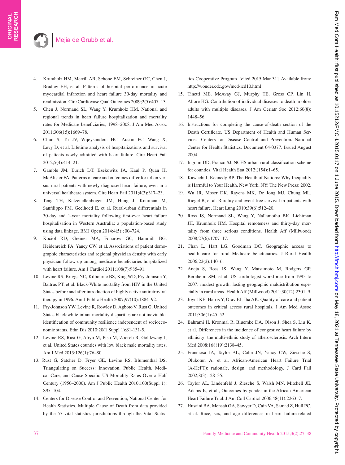- 4. Krumholz HM, Merrill AR, Schone EM, Schreiner GC, Chen J, Bradley EH, et al. Patterns of hospital performance in acute myocardial infarction and heart failure 30-day mortality and readmission. Circ Cardiovasc Qual Outcomes 2009;2(5):407–13.
- 5. Chen J, Normand SL, Wang Y, Krumholz HM. National and regional trends in heart failure hospitalization and mortality rates for Medicare beneficiaries, 1998–2008. J Am Med Assoc 2011;306(15):1669–78.
- 6. Chun S, Tu JV, Wijeysundera HC, Austin PC, Wang X, Levy D, et al. Lifetime analysis of hospitalizations and survival of patients newly admitted with heart failure. Circ Heart Fail 2012;5(4):414–21.
- 7. Gamble JM, Eurich DT, Ezekowitz JA, Kaul P, Quan H, McAlister FA. Patterns of care and outcomes differ for urban versus rural patients with newly diagnosed heart failure, even in a universal healthcare system. Circ Heart Fail 2011;4(3):317–23.
- 8. Teng TH, Katzenellenbogen JM, Hung J, Knuiman M, Sanfilippo FM, Geelhoed E, et al. Rural-urban differentials in 30-day and 1-year mortality following first-ever heart failure hospitalisation in Western Australia: a population-based study using data linkage. BMJ Open 2014;4(5):e004724.
- 9. Kociol RD, Greiner MA, Fonarow GC, Hammill BG, Heidenreich PA, Yancy CW, et al. Associations of patient demographic characteristics and regional physician density with early physician follow-up among medicare beneficiaries hospitalized with heart failure. Am J Cardiol 2011;108(7):985–91.
- 10. Levine RS, Briggs NC, Kilbourne BS, King WD, Fry-Johnson Y, Baltrus PT, et al. Black-White mortality from HIV in the United States before and after introduction of highly active antiretroviral therapy in 1996. Am J Public Health 2007;97(10):1884–92.
- 11. Fry-Johnson YW, Levine R, Rowley D, Agboto V, Rust G. United States black:white infant mortality disparities are not inevitable: identification of community resilience independent of socioeconomic status. Ethn Dis 2010;20(1 Suppl 1):S1-131-5.
- 12. Levine RS, Rust G, Aliyu M, Pisu M, Zoorob R, Goldzweig I, et al. United States counties with low black male mortality rates. Am J Med 2013;126(1):76–80.
- 13. Rust G, Satcher D, Fryer GE, Levine RS, Blumenthal DS. Triangulating on Success: Innovation, Public Health, Medical Care, and Cause-Specific US Mortality Rates Over a Half Century (1950–2000). Am J Public Health 2010;100(Suppl 1): S95–104.
- 14. Centers for Disease Control and Prevention, National Center for Health Statistics. Multiple Cause of Death from data provided by the 57 vital statistics jurisdictions through the Vital Statis-

tics Cooperative Program. [cited 2015 Mar 31]. Available from: http://wonder.cdc.gov/mcd-icd10.html

- 15. Tinetti ME, McAvay GJ, Murphy TE, Gross CP, Lin H, Allore HG. Contribution of individual diseases to death in older adults with multiple diseases. J Am Geriatr Soc 2012;60(8): 1448–56.
- 16. Instructions for completing the cause-of-death section of the Death Certificate. US Department of Health and Human Services. Centers for Disease Control and Prevention. National Center for Health Statistics. Document 04-0377. Issued August 2004.
- 17. Ingram DD, Franco SJ. NCHS urban-rural classification scheme for counties. Vital Health Stat 2012;(154):1–65.
- 18. Kawachi I, Kennedy BP. The Health of Nations: Why Inequality is Harmful to Your Health. New York, NY: The New Press; 2002.
- 19. Wu JR, Moser DK, Rayens MK, De Jong MJ, Chung ML, Riegel B, et al. Rurality and event-free survival in patients with heart failure. Heart Lung 2010;39(6):512–20.
- 20. Ross JS, Normand SL, Wang Y, Nallamothu BK, Lichtman JH, Krumholz HM. Hospital remoteness and thirty-day mortality from three serious conditions. Health Aff (Millwood) 2008;27(6):1707–17.
- 21. Chan L, Hart LG, Goodman DC. Geographic access to health care for rural Medicare beneficiaries. J Rural Health 2006;22(2):140–6.
- 22. Aneja S, Ross JS, Wang Y, Matsumoto M, Rodgers GP, Bernheim SM, et al. US cardiologist workforce from 1995 to 2007: modest growth, lasting geographic maldistribution especially in rural areas. Health Aff (Millwood) 2011;30(12):2301–9.
- 23. Joynt KE, Harris Y, Orav EJ, Jha AK. Quality of care and patient outcomes in critical access rural hospitals. J Am Med Assoc 2011;306(1):45–52.
- 24. Bahrami H, Kronmal R, Bluemke DA, Olson J, Shea S, Liu K, et al. Differences in the incidence of congestive heart failure by ethnicity: the multi-ethnic study of atherosclerosis. Arch Intern Med 2008;168(19):2138–45.
- 25. Franciosa JA, Taylor AL, Cohn JN, Yancy CW, Ziesche S, Olukotun A, et al. African-American Heart Failure Trial (A-HeFT): rationale, design, and methodology. J Card Fail 2002;8(3):128–35.
- 26. Taylor AL, Lindenfeld J, Ziesche S, Walsh MN, Mitchell JE, Adams K, et al., Outcomes by gender in the African-American Heart Failure Trial. J Am Coll Cardiol 2006;48(11):2263–7.
- 27. Husaini BA, Mensah GA, Sawyer D, Cain VA, Samad Z, Hull PC, et al. Race, sex, and age differences in heart failure-related